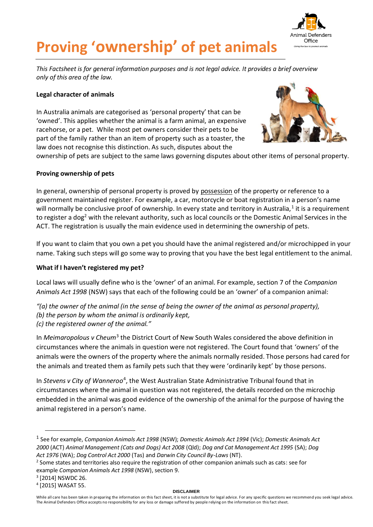

# **Proving 'ownership' of pet animals**

*This Factsheet is for general information purposes and is not legal advice. It provides a brief overview only of this area of the law.*

# **Legal character of animals**

In Australia animals are categorised as 'personal property' that can be 'owned'. This applies whether the animal is a farm animal, an expensive racehorse, or a pet. While most pet owners consider their pets to be part of the family rather than an item of property such as a toaster, the law does not recognise this distinction. As such, disputes about the



ownership of pets are subject to the same laws governing disputes about other items of personal property.

# **Proving ownership of pets**

In general, ownership of personal property is proved by possession of the property or reference to a government maintained register. For example, a car, motorcycle or boat registration in a person's name will normally be conclusive proof of ownership. In every state and territory in Australia,<sup>1</sup> it is a requirement to register a dog<sup>2</sup> with the relevant authority, such as local councils or the Domestic Animal Services in the ACT. The registration is usually the main evidence used in determining the ownership of pets.

If you want to claim that you own a pet you should have the animal registered and/or microchipped in your name. Taking such steps will go some way to proving that you have the best legal entitlement to the animal.

# **What if I haven't registered my pet?**

Local laws will usually define who is the 'owner' of an animal. For example, section 7 of the *Companion Animals Act 1998* (NSW) says that each of the following could be an 'owner' of a companion animal:

- *"(a) the owner of the animal (in the sense of being the owner of the animal as personal property), (b) the person by whom the animal is ordinarily kept,*
- *(c) the registered owner of the animal."*

In *Meimaropolous v Cheum*<sup>3</sup> the District Court of New South Wales considered the above definition in circumstances where the animals in question were not registered. The Court found that 'owners' of the animals were the owners of the property where the animals normally resided. Those persons had cared for the animals and treated them as family pets such that they were 'ordinarily kept' by those persons.

In Stevens v City of Wanneroo<sup>4</sup>, the West Australian State Administrative Tribunal found that in circumstances where the animal in question was not registered, the details recorded on the microchip embedded in the animal was good evidence of the ownership of the animal for the purpose of having the animal registered in a person's name.

#### **DISCLAIMER**

<sup>1</sup> See for example, *Companion Animals Act 1998* (NSW); *Domestic Animals Act 1994* (Vic); *Domestic Animals Act 2000* (ACT) *Animal Management (Cats and Dogs) Act 2008* (Qld); *Dog and Cat Management Act 1995* (SA); *Dog Act 1976* (WA); *Dog Control Act 2000* (Tas) and *Darwin City Council By-Laws* (NT).

<sup>&</sup>lt;sup>2</sup> Some states and territories also require the registration of other companion animals such as cats: see for example *Companion Animals Act 1998* (NSW), section 9.

<sup>3</sup> [2014] NSWDC 26.

<sup>4</sup> [2015] WASAT 55.

While all care has been taken in preparing the information on this fact sheet, it is not a substitute for legal advice. For any specific questions we recommend you seek legal advice. The Animal Defenders Office accepts no responsibility for any loss or damage suffered by people relying on the information on this fact sheet.